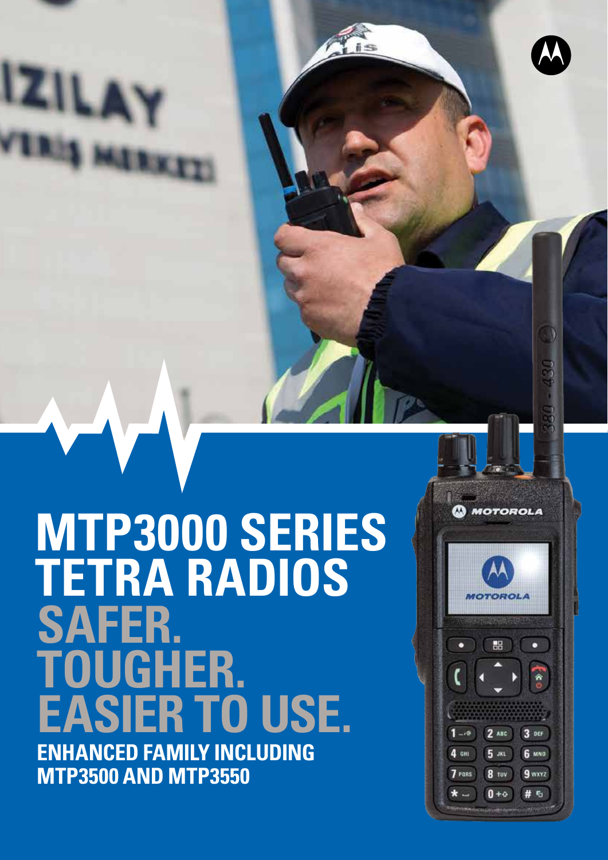# **ENHANCED FAMILY INCLUDING MTP3500 AND MTP3550 MTP3000 SERIES TETRA RADIOS SAFER. TOUGHER. EASIER TO USE.**

**MOTOROLA MOTOROLA** 噐  $\mathbf{r}_\mathrm{e}$  $2$  ABC  $3<sub>0</sub>$ **6 мно**  $5<sub>xx</sub>$ 9 wxyz 7 PORS 8 TUV  $\star$   $0 + 4$ # 5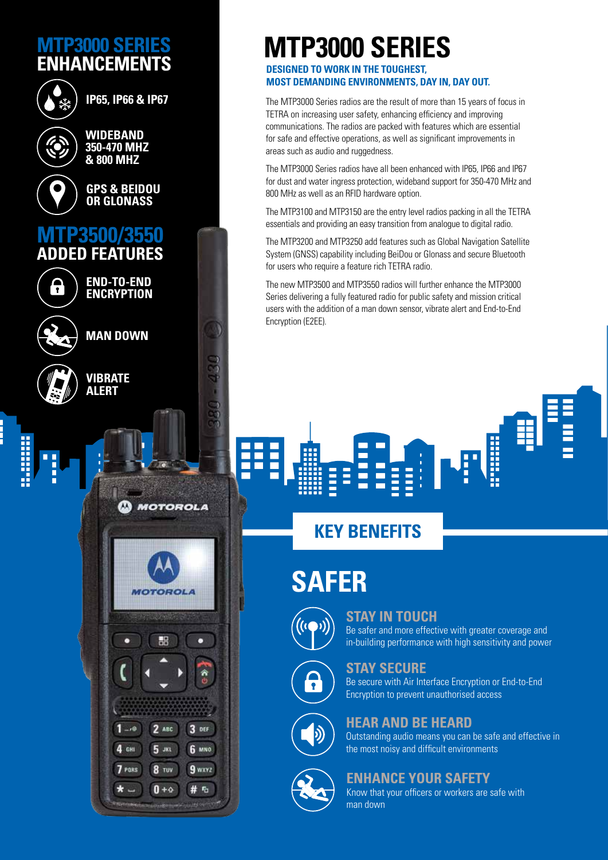## **MTP3000 SERIES ENHANCEMENTS**



**IP65, IP66 & IP67**



**WIDEBAND 350-470 MHZ & 800 MHZ**

**GPS & BEIDOU OR GLONASS**

## **MTP3500/3550 ADDED FEATURES**



**ENCRYPTION** 

**MOTOROLA** 

**MONTAN PART A** 

쁢

 $2$  ABC

5 ж

8 TUV

 $0 + \diamond$ 

3 DEF

**6 мно** 

9 wxyz

# 5

<u>ه، -</u>

4 сн

7 PORS

 $\star$   $-$ 

**END-TO-END** 





### **MTP3000 SERIES DESIGNED TO WORK IN THE TOUGHEST,**

**MOST DEMANDING ENVIRONMENTS, DAY IN, DAY OUT.**

The MTP3000 Series radios are the result of more than 15 years of focus in TETRA on increasing user safety, enhancing efficiency and improving communications. The radios are packed with features which are essential for safe and effective operations, as well as significant improvements in areas such as audio and ruggedness.

The MTP3000 Series radios have all been enhanced with IP65, IP66 and IP67 for dust and water ingress protection, wideband support for 350-470 MHz and 800 MHz as well as an RFID hardware option.

The MTP3100 and MTP3150 are the entry level radios packing in all the TETRA essentials and providing an easy transition from analogue to digital radio.

The MTP3200 and MTP3250 add features such as Global Navigation Satellite System (GNSS) capability including BeiDou or Glonass and secure Bluetooth for users who require a feature rich TETRA radio.

The new MTP3500 and MTP3550 radios will further enhance the MTP3000 Series delivering a fully featured radio for public safety and mission critical users with the addition of a man down sensor, vibrate alert and End-to-End Encryption (E2EE).

# **KEY BENEFITS**

**SAFER**

Ξ



### **STAY IN TOUCH**

H

Be safer and more effective with greater coverage and in-building performance with high sensitivity and power

li



(b)

#### **STAY SECURE**

Be secure with Air Interface Encryption or End-to-End Encryption to prevent unauthorised access



Outstanding audio means you can be safe and effective in the most noisy and difficult environments

### **ENHANCE YOUR SAFETY**

Know that your officers or workers are safe with man down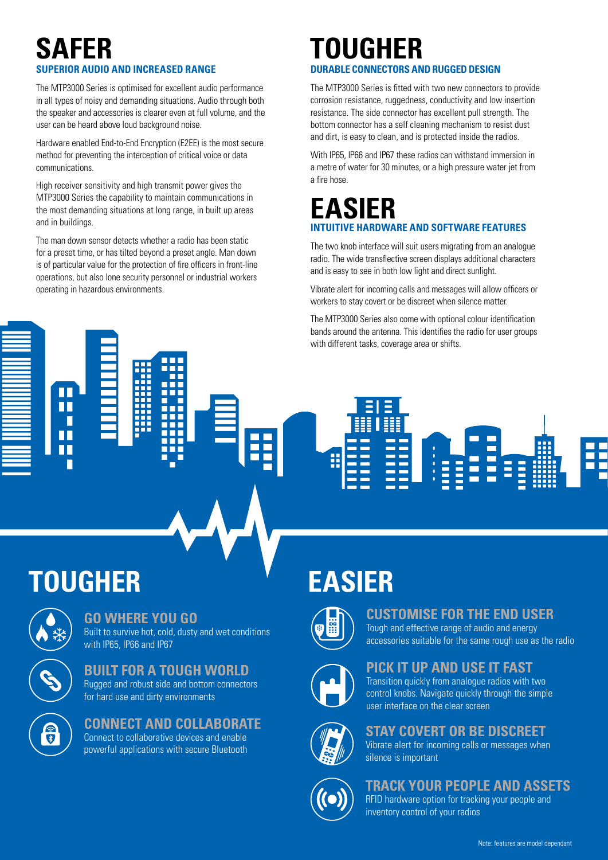# **SAFER SUPERIOR AUDIO AND INCREASED RANGE**

The MTP3000 Series is optimised for excellent audio performance in all types of noisy and demanding situations. Audio through both the speaker and accessories is clearer even at full volume, and the user can be heard above loud background noise.

Hardware enabled End-to-End Encryption (E2EE) is the most secure method for preventing the interception of critical voice or data communications.

High receiver sensitivity and high transmit power gives the MTP3000 Series the capability to maintain communications in the most demanding situations at long range, in built up areas and in buildings.

The man down sensor detects whether a radio has been static for a preset time, or has tilted beyond a preset angle. Man down is of particular value for the protection of fire officers in front-line operations, but also lone security personnel or industrial workers operating in hazardous environments.

### **TOUGHER DURABLE CONNECTORS AND RUGGED DESIGN**

The MTP3000 Series is fitted with two new connectors to provide corrosion resistance, ruggedness, conductivity and low insertion resistance. The side connector has excellent pull strength. The bottom connector has a self cleaning mechanism to resist dust and dirt, is easy to clean, and is protected inside the radios.

With IP65, IP66 and IP67 these radios can withstand immersion in a metre of water for 30 minutes, or a high pressure water jet from a fire hose.

# **EASIER INTUITIVE HARDWARE AND SOFTWARE FEATURES**

The two knob interface will suit users migrating from an analogue radio. The wide transflective screen displays additional characters and is easy to see in both low light and direct sunlight.

Vibrate alert for incoming calls and messages will allow officers or workers to stay covert or be discreet when silence matter.

The MTP3000 Series also come with optional colour identification bands around the antenna. This identifies the radio for user groups with different tasks, coverage area or shifts.

# **TOUGHER**

ПГ



### **GO WHERE YOU GO**

Built to survive hot, cold, dusty and wet conditions with IP65, IP66 and IP67



**BUILT FOR A TOUGH WORLD** Rugged and robust side and bottom connectors for hard use and dirty environments

# 全

# **CONNECT AND COLLABORATE**

Connect to collaborative devices and enable powerful applications with secure Bluetooth

# **EASIER**



### **CUSTOMISE FOR THE END USER**

Tough and effective range of audio and energy accessories suitable for the same rough use as the radio

HH

### **PICK IT UP AND USE IT FAST**

Transition quickly from analogue radios with two control knobs. Navigate quickly through the simple user interface on the clear screen



### **STAY COVERT OR BE DISCREET**

Vibrate alert for incoming calls or messages when silence is important



### **TRACK YOUR PEOPLE AND ASSETS**

RFID hardware option for tracking your people and inventory control of your radios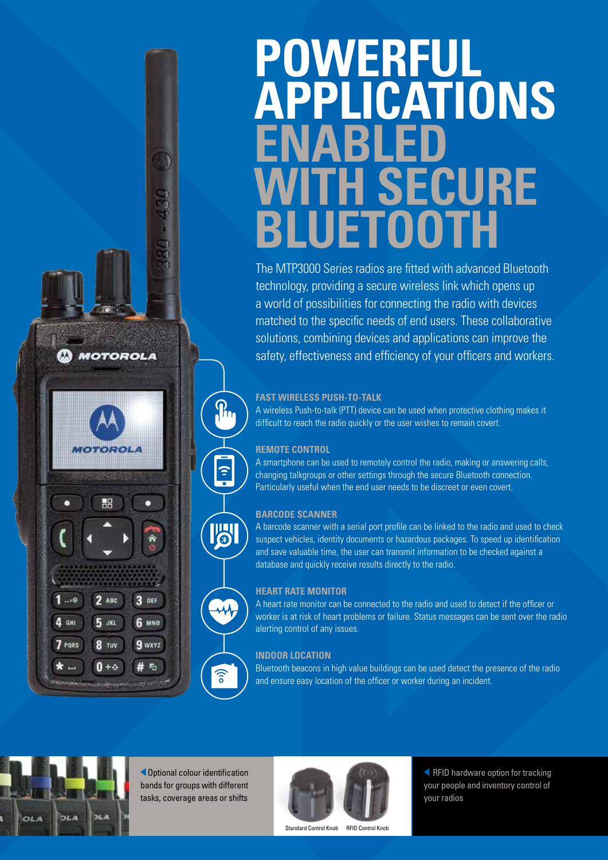# **POWERFUL APPLICATIONS ENABLED WITH SECURE BLUETOOTH**

The MTP3000 Series radios are fitted with advanced Bluetooth technology, providing a secure wireless link which opens up a world of possibilities for connecting the radio with devices matched to the specific needs of end users. These collaborative solutions, combining devices and applications can improve the safety, effectiveness and efficiency of your officers and workers.

#### **FAST WIRELESS PUSH-TO-TALK**

A wireless Push-to-talk (PTT) device can be used when protective clothing makes it difficult to reach the radio quickly or the user wishes to remain covert.

#### **REMOTE CONTROL**

 $\mathbf{a}$ 

 $\hat{z}$ 

**I'SI** 

 $\widehat{\mathbb{R}}$ 

A smartphone can be used to remotely control the radio, making or answering calls, changing talkgroups or other settings through the secure Bluetooth connection. Particularly useful when the end user needs to be discreet or even covert.

#### **BARCODE SCANNER**

A barcode scanner with a serial port profile can be linked to the radio and used to check suspect vehicles, identity documents or hazardous packages. To speed up identification and save valuable time, the user can transmit information to be checked against a database and quickly receive results directly to the radio.

#### **HEART RATE MONITOR**

A heart rate monitor can be connected to the radio and used to detect if the officer or worker is at risk of heart problems or failure. Status messages can be sent over the radio alerting control of any issues.

#### **INDOOR LOCATION**

Bluetooth beacons in high value buildings can be used detect the presence of the radio and ensure easy location of the officer or worker during an incident.



**MOTOROLA** 

H

 $2$  ABC

5 лкі

**8** TUV

 $0 + 4$ 

 $-16$ 

4 сн

7 PORS

 $\star$   $-$ 

 $3$  DEF

**6 мло** 

9 wxyz

I.F

Optional colour identification bands for groups with different tasks, coverage areas or shifts



Standard Control Knob RFID Control Knob

**K** RFID hardware option for tracking your people and inventory control of your radios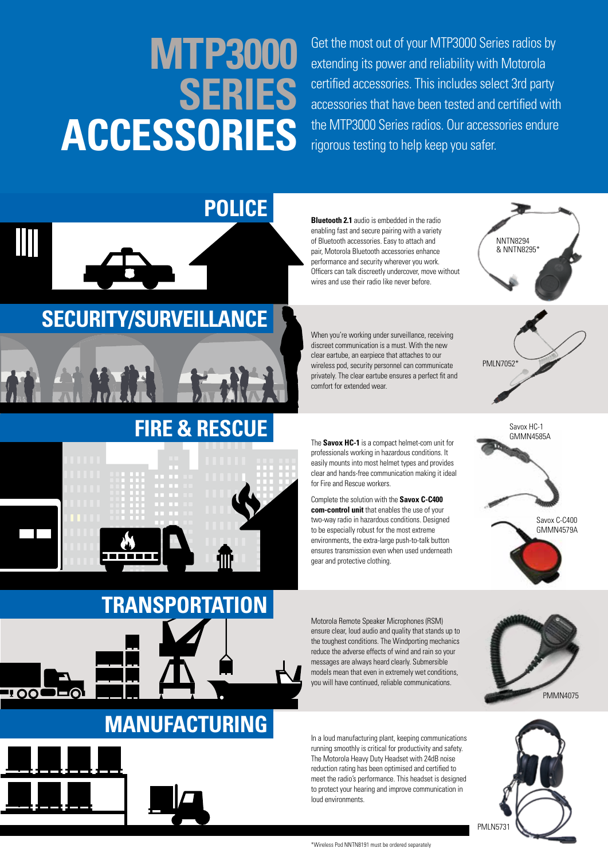# **MTP3000 SERIES ACCESSORIES**

Get the most out of your MTP3000 Series radios by extending its power and reliability with Motorola certified accessories. This includes select 3rd party accessories that have been tested and certified with the MTP3000 Series radios. Our accessories endure rigorous testing to help keep you safer.



**Bluetooth 2.1** audio is embedded in the radio enabling fast and secure pairing with a variety of Bluetooth accessories. Easy to attach and pair, Motorola Bluetooth accessories enhance performance and security wherever you work. Officers can talk discreetly undercover, move without wires and use their radio like never before.

When you're working under surveillance, receiving discreet communication is a must. With the new clear eartube, an earpiece that attaches to our wireless pod, security personnel can communicate privately. The clear eartube ensures a perfect fit and comfort for extended wear.

The **Savox HC-1** is a compact helmet-com unit for professionals working in hazardous conditions. It easily mounts into most helmet types and provides clear and hands-free communication making it ideal for Fire and Rescue workers.

Complete the solution with the **Savox C-C400 com-control unit** that enables the use of your two-way radio in hazardous conditions. Designed to be especially robust for the most extreme environments, the extra-large push-to-talk button ensures transmission even when used underneath gear and protective clothing.

Savox C-C400 GMMN4579A Savox HC-1 GMMN4585A

PMLN7052<sup>\*</sup>

NNTN8294 & NNTN8295\*

Motorola Remote Speaker Microphones (RSM) ensure clear, loud audio and quality that stands up to the toughest conditions. The Windporting mechanics reduce the adverse effects of wind and rain so your messages are always heard clearly. Submersible models mean that even in extremely wet conditions, you will have continued, reliable communications.

PMM<sub>MA4075</sub>

In a loud manufacturing plant, keeping communications running smoothly is critical for productivity and safety. The Motorola Heavy Duty Headset with 24dB noise reduction rating has been optimised and certified to meet the radio's performance. This headset is designed to protect your hearing and improve communication in loud environments.

\*Wireless Pod NNTN8191 must be ordered separately

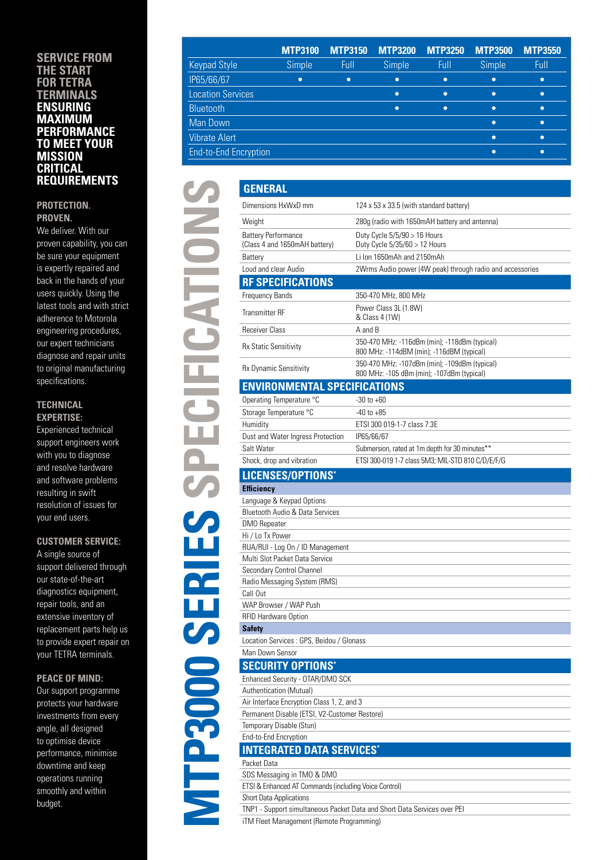#### **SERVICE FROM THE START FOR TETRA TERMINALS ENSURING MAXIMUM PERFORMANCE TO MEET YOUR MISSION CRITICAL REQUIREMENTS**

#### **PROTECTION. PROVEN.**

We deliver. With our proven capability, you can be sure your equipment is expertly repaired and back in the hands of your users quickly. Using the latest tools and with strict adherence to Motorola engineering procedures, our expert technicians diagnose and repair units to original manufacturing specifications.

#### **TECHNICAL EXPERTISE:**

Experienced technical support engineers work with you to diagnose and resolve hardware and software problems resulting in swift resolution of issues for your end users.

**MTP3000 SERIES SPECIFICATIONS**

**VITP3000 SERIES** 

**SPECIFICATIONS** 

#### **CUSTOMER SERVICE:**

A single source of support delivered through our state-of-the-art diagnostics equipment, repair tools, and an extensive inventory of replacement parts help us to provide expert repair on your TETRA terminals.

#### **PEACE OF MIND:**

Our support programme protects your hardware investments from every angle, all designed to optimise device performance, minimise downtime and keep operations running smoothly and within budget.

|                              | <b>MTP3100</b> | <b>MTP3150</b> | <b>MTP3200</b> | <b>MTP3250</b> | <b>MTP3500</b> | <b>MTP3550</b> |
|------------------------------|----------------|----------------|----------------|----------------|----------------|----------------|
| <b>Keypad Style</b>          | Simple         | Full           | Simple         | Full           | Simple         | Full           |
| IP65/66/67                   | ٠              | $\bullet$      | $\bullet$      | $\bullet$      | $\bullet$      | ٠              |
| <b>Location Services</b>     |                |                | $\bullet$      | $\bullet$      | $\bullet$      | ٠              |
| <b>Bluetooth</b>             |                |                | $\bullet$      | $\bullet$      | ٠              | ٠              |
| Man Down                     |                |                |                |                | ٠              | $\bullet$      |
| <b>Vibrate Alert</b>         |                |                |                |                | ٠              | ◠              |
| <b>End-to-End Encryption</b> |                |                |                |                | ∙              |                |

| <b>GENERAL</b>                                              |                                                                                             |
|-------------------------------------------------------------|---------------------------------------------------------------------------------------------|
| Dimensions HxWxD mm                                         | 124 x 53 x 33.5 (with standard battery)                                                     |
| Weight                                                      | 280g (radio with 1650mAH battery and antenna)                                               |
| <b>Battery Performance</b><br>(Class 4 and 1650mAH battery) | Duty Cycle 5/5/90 > 16 Hours<br>Duty Cycle 5/35/60 > 12 Hours                               |
| Battery                                                     | Li Ion 1650mAh and 2150mAh                                                                  |
| Loud and clear Audio                                        | 2Wrms Audio power (4W peak) through radio and accessories                                   |
| <b>RF SPECIFICATIONS</b>                                    |                                                                                             |
| Frequency Bands                                             | 350-470 MHz, 800 MHz                                                                        |
| <b>Transmitter RF</b>                                       | Power Class 3L (1.8W)<br>& Class 4 (1W)                                                     |
| <b>Receiver Class</b>                                       | A and B                                                                                     |
| <b>Rx Static Sensitivity</b>                                | 350-470 MHz: -116dBm (min); -118dBm (typical)<br>800 MHz: -114dBM (min); -116dBM (typical)  |
| <b>Rx Dynamic Sensitivity</b>                               | 350-470 MHz: -107dBm (min); -109dBm (typical)<br>800 MHz: -105 dBm (min); -107dBm (typical) |
| <b>ENVIRONMENTAL SPECIFICATIONS</b>                         |                                                                                             |
| Operating Temperature °C                                    | $-30$ to $+60$                                                                              |
| Storage Temperature °C                                      | $-40$ to $+85$                                                                              |
| Humidity                                                    | ETSI 300 019-1-7 class 7.3E                                                                 |
| Dust and Water Ingress Protection                           | IP65/66/67                                                                                  |
| Salt Water                                                  | Submersion, rated at 1m depth for 30 minutes**                                              |
| Shock, drop and vibration                                   | ETSI 300-019 1-7 class 5M3; MIL-STD 810 C/D/E/F/G                                           |
| LICENSES/OPTIONS*                                           |                                                                                             |
| <b>Efficiency</b>                                           |                                                                                             |
| Language & Keypad Options                                   |                                                                                             |
| <b>Bluetooth Audio &amp; Data Services</b>                  |                                                                                             |
| DMO Repeater                                                |                                                                                             |
| Hi / Lo Tx Power                                            |                                                                                             |
| RUA/RUI - Log On / ID Management                            |                                                                                             |
| Multi Slot Packet Data Service                              |                                                                                             |
| Secondary Control Channel                                   |                                                                                             |
| Radio Messaging System (RMS)                                |                                                                                             |
| Call Out                                                    |                                                                                             |
| WAP Browser / WAP Push                                      |                                                                                             |
| RFID Hardware Option                                        |                                                                                             |
| <b>Safety</b>                                               |                                                                                             |
| Location Services : GPS, Beidou / Glonass                   |                                                                                             |
| Man Down Sensor                                             |                                                                                             |
| <b>SECURITY OPTIONS*</b>                                    |                                                                                             |
| Enhanced Security - OTAR/DMO SCK                            |                                                                                             |
| Authentication (Mutual)                                     |                                                                                             |
| Air Interface Encryption Class 1, 2, and 3                  |                                                                                             |
| Permanent Disable (ETSI, V2-Customer Restore)               |                                                                                             |
| Temporary Disable (Stun)                                    |                                                                                             |
| End-to-End Encryption                                       |                                                                                             |
| <b>INTEGRATED DATA SERVICES*</b>                            |                                                                                             |
| Packet Data                                                 |                                                                                             |
| SDS Messaging in TMO & DMO                                  |                                                                                             |
| ETSI & Enhanced AT Commands (including Voice Control)       |                                                                                             |
| Short Data Applications                                     |                                                                                             |
|                                                             | TNP1 - Support simultaneous Packet Data and Short Data Services over PEI                    |

iTM Fleet Management (Remote Programming)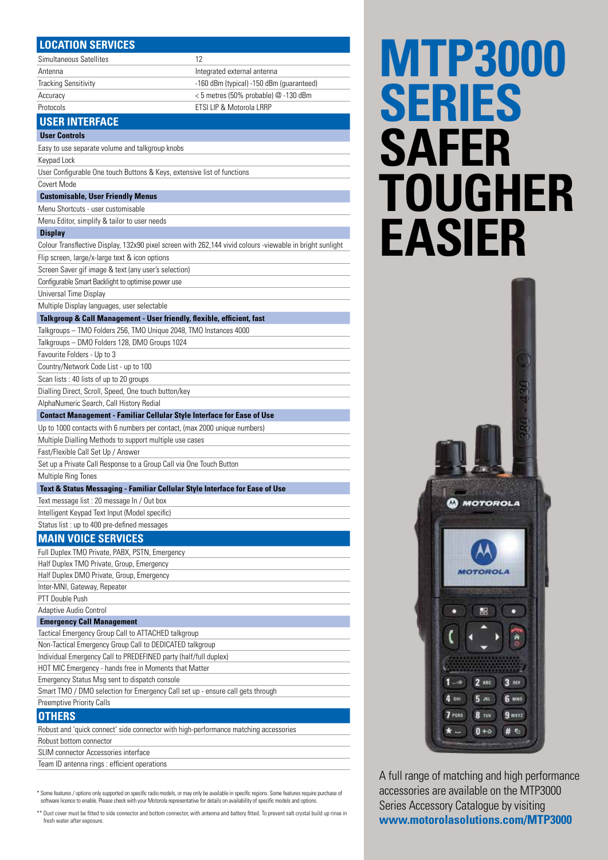| <b>LOCATION SERVICES</b>                                                                                                    |                                                                                       |  |  |  |  |
|-----------------------------------------------------------------------------------------------------------------------------|---------------------------------------------------------------------------------------|--|--|--|--|
| Simultaneous Satellites                                                                                                     | 12                                                                                    |  |  |  |  |
| Antenna                                                                                                                     | Integrated external antenna                                                           |  |  |  |  |
| <b>Tracking Sensitivity</b>                                                                                                 | -160 dBm (typical) -150 dBm (guaranteed)                                              |  |  |  |  |
| Accuracy                                                                                                                    | <5 metres (50% probable) @ -130 dBm                                                   |  |  |  |  |
| Protocols                                                                                                                   | ETSI LIP & Motorola LRRP                                                              |  |  |  |  |
| <b>USER INTERFACE</b>                                                                                                       |                                                                                       |  |  |  |  |
| <b>User Controls</b>                                                                                                        |                                                                                       |  |  |  |  |
| Easy to use separate volume and talkgroup knobs                                                                             |                                                                                       |  |  |  |  |
| Keypad Lock                                                                                                                 |                                                                                       |  |  |  |  |
| User Configurable One touch Buttons & Keys, extensive list of functions                                                     |                                                                                       |  |  |  |  |
| Covert Mode                                                                                                                 |                                                                                       |  |  |  |  |
| <b>Customisable, User Friendly Menus</b>                                                                                    |                                                                                       |  |  |  |  |
| Menu Shortcuts - user customisable                                                                                          |                                                                                       |  |  |  |  |
| Menu Editor, simplify & tailor to user needs                                                                                |                                                                                       |  |  |  |  |
|                                                                                                                             |                                                                                       |  |  |  |  |
| <b>Display</b><br>Colour Transflective Display, 132x90 pixel screen with 262,144 vivid colours -viewable in bright sunlight |                                                                                       |  |  |  |  |
|                                                                                                                             |                                                                                       |  |  |  |  |
| Flip screen, large/x-large text & icon options                                                                              |                                                                                       |  |  |  |  |
| Screen Saver gif image & text (any user's selection)                                                                        |                                                                                       |  |  |  |  |
| Configurable Smart Backlight to optimise power use                                                                          |                                                                                       |  |  |  |  |
| Universal Time Display                                                                                                      |                                                                                       |  |  |  |  |
| Multiple Display languages, user selectable                                                                                 |                                                                                       |  |  |  |  |
| Talkgroup & Call Management - User friendly, flexible, efficient, fast                                                      |                                                                                       |  |  |  |  |
| Talkgroups - TMO Folders 256, TMO Unique 2048, TMO Instances 4000                                                           |                                                                                       |  |  |  |  |
| Talkgroups - DMO Folders 128, DMO Groups 1024                                                                               |                                                                                       |  |  |  |  |
| Favourite Folders - Up to 3                                                                                                 |                                                                                       |  |  |  |  |
| Country/Network Code List - up to 100                                                                                       |                                                                                       |  |  |  |  |
| Scan lists: 40 lists of up to 20 groups                                                                                     |                                                                                       |  |  |  |  |
| Dialling Direct, Scroll, Speed, One touch button/key                                                                        |                                                                                       |  |  |  |  |
| AlphaNumeric Search, Call History Redial                                                                                    |                                                                                       |  |  |  |  |
| <b>Contact Management - Familiar Cellular Style Interface for Ease of Use</b>                                               |                                                                                       |  |  |  |  |
| Up to 1000 contacts with 6 numbers per contact, (max 2000 unique numbers)                                                   |                                                                                       |  |  |  |  |
| Multiple Dialling Methods to support multiple use cases<br>Fast/Flexible Call Set Up / Answer                               |                                                                                       |  |  |  |  |
|                                                                                                                             |                                                                                       |  |  |  |  |
| Set up a Private Call Response to a Group Call via One Touch Button                                                         |                                                                                       |  |  |  |  |
| <b>Multiple Ring Tones</b><br>Text & Status Messaging - Familiar Cellular Style Interface for Ease of Use                   |                                                                                       |  |  |  |  |
|                                                                                                                             |                                                                                       |  |  |  |  |
| Text message list: 20 message In / Out box                                                                                  |                                                                                       |  |  |  |  |
| Intelligent Keypad Text Input (Model specific)                                                                              |                                                                                       |  |  |  |  |
| Status list : up to 400 pre-defined messages                                                                                |                                                                                       |  |  |  |  |
| <b>MAIN VOICE SERVICES</b>                                                                                                  |                                                                                       |  |  |  |  |
| Full Duplex TMO Private, PABX, PSTN, Emergency                                                                              |                                                                                       |  |  |  |  |
| Half Duplex TMO Private, Group, Emergency                                                                                   |                                                                                       |  |  |  |  |
| Half Duplex DMO Private, Group, Emergency                                                                                   |                                                                                       |  |  |  |  |
| Inter-MNI, Gateway, Repeater                                                                                                |                                                                                       |  |  |  |  |
| PTT Double Push                                                                                                             |                                                                                       |  |  |  |  |
| Adaptive Audio Control                                                                                                      |                                                                                       |  |  |  |  |
| <b>Emergency Call Management</b>                                                                                            |                                                                                       |  |  |  |  |
| Tactical Emergency Group Call to ATTACHED talkgroup                                                                         |                                                                                       |  |  |  |  |
| Non-Tactical Emergency Group Call to DEDICATED talkgroup                                                                    |                                                                                       |  |  |  |  |
| Individual Emergency Call to PREDEFINED party (half/full duplex)<br>HOT MIC Emergency - hands free in Moments that Matter   |                                                                                       |  |  |  |  |
| Emergency Status Msg sent to dispatch console                                                                               |                                                                                       |  |  |  |  |
| Smart TMO / DMO selection for Emergency Call set up - ensure call gets through                                              |                                                                                       |  |  |  |  |
| Preemptive Priority Calls                                                                                                   |                                                                                       |  |  |  |  |
| <b>OTHERS</b>                                                                                                               |                                                                                       |  |  |  |  |
|                                                                                                                             | Reputed and 'quick connect' aide connector with bigh performance matching accessories |  |  |  |  |

Robust and 'quick connect' side connector with high-perform Robust bottom connector SLIM connector Accessories interface Team ID antenna rings : efficient operations

\* Some features / options only supported on specific radio models, or may only be available in specific regions. Some features require purchase of<br>software licence to enable. Please check with your Motorola representative

\*\* Dust cover must be fitted to side connector and bottom connector, with antenna and battery fitted. To prevent salt crystal build up rinse in fresh water after exposure.

# **MTP3000 SERIES SAFER TOUGHER EASIER**



A full range of matching and high performance accessories are available on the MTP3000 Series Accessory Catalogue by visiting **www.motorolasolutions.com/MTP3000**